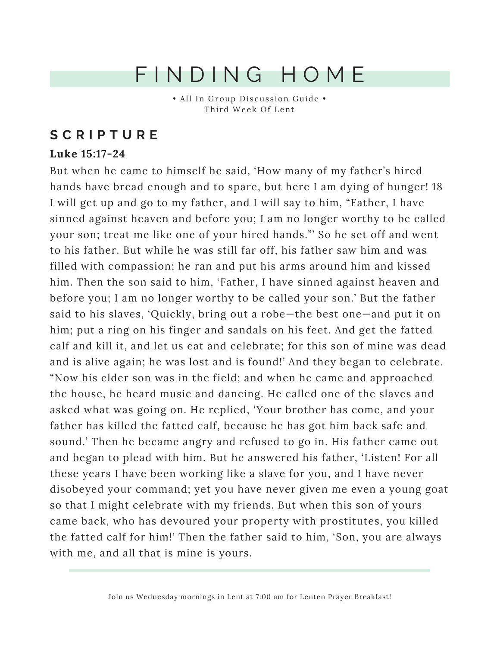## F I N D I N G H O M E

• All In Group Discussion Guide • Third Week Of Lent

#### **S C R I P T U R E**

#### **Luke 15:17-24**

But when he came to himself he said, 'How many of my father's hired hands have bread enough and to spare, but here I am dying of hunger! 18 I will get up and go to my father, and I will say to him, "Father, I have sinned against heaven and before you; I am no longer worthy to be called your son; treat me like one of your hired hands."' So he set off and went to his father. But while he was still far off, his father saw him and was filled with compassion; he ran and put his arms around him and kissed him. Then the son said to him, 'Father, I have sinned against heaven and before you; I am no longer worthy to be called your son.' But the father said to his slaves, 'Quickly, bring out a robe—the best one—and put it on him; put a ring on his finger and sandals on his feet. And get the fatted calf and kill it, and let us eat and celebrate; for this son of mine was dead and is alive again; he was lost and is found!' And they began to celebrate. "Now his elder son was in the field; and when he came and approached the house, he heard music and dancing. He called one of the slaves and asked what was going on. He replied, 'Your brother has come, and your father has killed the fatted calf, because he has got him back safe and sound.' Then he became angry and refused to go in. His father came out and began to plead with him. But he answered his father, 'Listen! For all these years I have been working like a slave for you, and I have never disobeyed your command; yet you have never given me even a young goat so that I might celebrate with my friends. But when this son of yours came back, who has devoured your property with prostitutes, you killed the fatted calf for him!' Then the father said to him, 'Son, you are always with me, and all that is mine is yours.